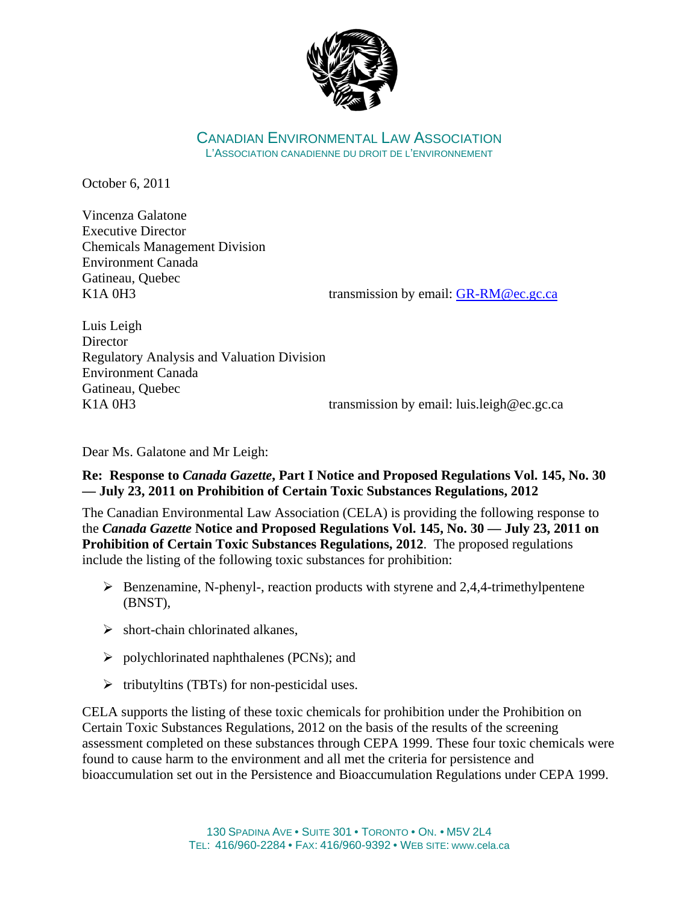

CANADIAN ENVIRONMENTAL LAW ASSOCIATION L'ASSOCIATION CANADIENNE DU DROIT DE L'ENVIRONNEMENT

October 6, 2011

Vincenza Galatone Executive Director Chemicals Management Division Environment Canada Gatineau, Quebec

K1A 0H3 transmission by email: GR-RM@ec.gc.ca

Luis Leigh **Director** Regulatory Analysis and Valuation Division Environment Canada Gatineau, Quebec K1A 0H3 transmission by email: luis.leigh@ec.gc.ca

Dear Ms. Galatone and Mr Leigh:

## **Re: Response to** *Canada Gazette***, Part I Notice and Proposed Regulations Vol. 145, No. 30 — July 23, 2011 on Prohibition of Certain Toxic Substances Regulations, 2012**

The Canadian Environmental Law Association (CELA) is providing the following response to the *Canada Gazette* **Notice and Proposed Regulations Vol. 145, No. 30 — July 23, 2011 on Prohibition of Certain Toxic Substances Regulations, 2012**. The proposed regulations include the listing of the following toxic substances for prohibition:

- $\triangleright$  Benzenamine, N-phenyl-, reaction products with styrene and 2,4,4-trimethylpentene (BNST),
- $\triangleright$  short-chain chlorinated alkanes,
- $\triangleright$  polychlorinated naphthalenes (PCNs); and
- $\triangleright$  tributyltins (TBTs) for non-pesticidal uses.

CELA supports the listing of these toxic chemicals for prohibition under the Prohibition on Certain Toxic Substances Regulations, 2012 on the basis of the results of the screening assessment completed on these substances through CEPA 1999. These four toxic chemicals were found to cause harm to the environment and all met the criteria for persistence and bioaccumulation set out in the Persistence and Bioaccumulation Regulations under CEPA 1999.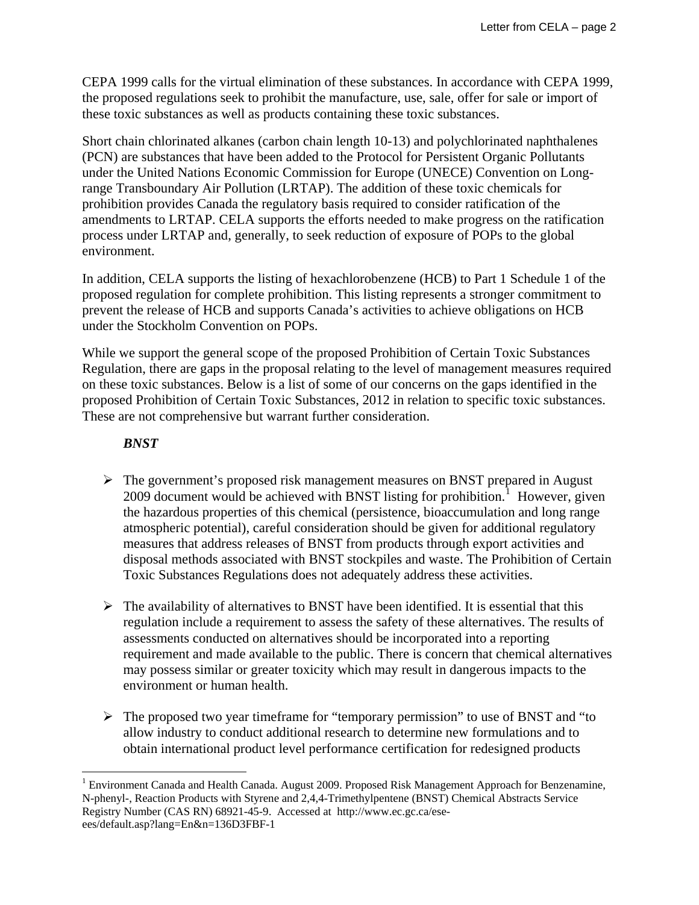CEPA 1999 calls for the virtual elimination of these substances. In accordance with CEPA 1999, the proposed regulations seek to prohibit the manufacture, use, sale, offer for sale or import of these toxic substances as well as products containing these toxic substances.

Short chain chlorinated alkanes (carbon chain length 10-13) and polychlorinated naphthalenes (PCN) are substances that have been added to the Protocol for Persistent Organic Pollutants under the United Nations Economic Commission for Europe (UNECE) Convention on Longrange Transboundary Air Pollution (LRTAP). The addition of these toxic chemicals for prohibition provides Canada the regulatory basis required to consider ratification of the amendments to LRTAP. CELA supports the efforts needed to make progress on the ratification process under LRTAP and, generally, to seek reduction of exposure of POPs to the global environment.

In addition, CELA supports the listing of hexachlorobenzene (HCB) to Part 1 Schedule 1 of the proposed regulation for complete prohibition. This listing represents a stronger commitment to prevent the release of HCB and supports Canada's activities to achieve obligations on HCB under the Stockholm Convention on POPs.

While we support the general scope of the proposed Prohibition of Certain Toxic Substances Regulation, there are gaps in the proposal relating to the level of management measures required on these toxic substances. Below is a list of some of our concerns on the gaps identified in the proposed Prohibition of Certain Toxic Substances, 2012 in relation to specific toxic substances. These are not comprehensive but warrant further consideration.

### *BNST*

 $\overline{a}$ 

- $\triangleright$  The government's proposed risk management measures on BNST prepared in August 2009 document would be achieved with BNST listing for prohibition.<sup>[1](#page-1-0)</sup> However, given the hazardous properties of this chemical (persistence, bioaccumulation and long range atmospheric potential), careful consideration should be given for additional regulatory measures that address releases of BNST from products through export activities and disposal methods associated with BNST stockpiles and waste. The Prohibition of Certain Toxic Substances Regulations does not adequately address these activities.
- $\triangleright$  The availability of alternatives to BNST have been identified. It is essential that this regulation include a requirement to assess the safety of these alternatives. The results of assessments conducted on alternatives should be incorporated into a reporting requirement and made available to the public. There is concern that chemical alternatives may possess similar or greater toxicity which may result in dangerous impacts to the environment or human health.
- $\triangleright$  The proposed two year timeframe for "temporary permission" to use of BNST and "to" allow industry to conduct additional research to determine new formulations and to obtain international product level performance certification for redesigned products

<span id="page-1-0"></span><sup>&</sup>lt;sup>1</sup> Environment Canada and Health Canada. August 2009. Proposed Risk Management Approach for Benzenamine, N-phenyl-, Reaction Products with Styrene and 2,4,4-Trimethylpentene (BNST) Chemical Abstracts Service Registry Number (CAS RN) 68921-45-9. Accessed at http://www.ec.gc.ca/eseees/default.asp?lang=En&n=136D3FBF-1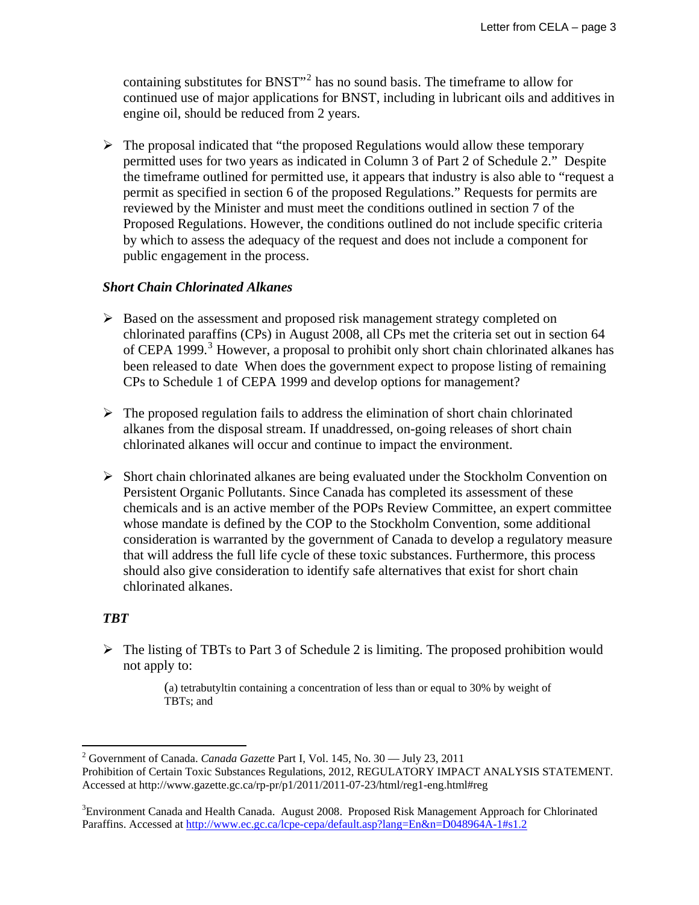containing substitutes for BNST $^{\prime\prime}$ <sup>[2](#page-2-0)</sup> has no sound basis. The timeframe to allow for continued use of major applications for BNST, including in lubricant oils and additives in engine oil, should be reduced from 2 years.

 $\triangleright$  The proposal indicated that "the proposed Regulations would allow these temporary permitted uses for two years as indicated in Column 3 of Part 2 of Schedule 2." Despite the timeframe outlined for permitted use, it appears that industry is also able to "request a permit as specified in section 6 of the proposed Regulations." Requests for permits are reviewed by the Minister and must meet the conditions outlined in section 7 of the Proposed Regulations. However, the conditions outlined do not include specific criteria by which to assess the adequacy of the request and does not include a component for public engagement in the process.

### *Short Chain Chlorinated Alkanes*

- ¾ Based on the assessment and proposed risk management strategy completed on chlorinated paraffins (CPs) in August 2008, all CPs met the criteria set out in section 64 of CEPA 1999.<sup>[3](#page-2-1)</sup> However, a proposal to prohibit only short chain chlorinated alkanes has been released to date When does the government expect to propose listing of remaining CPs to Schedule 1 of CEPA 1999 and develop options for management?
- $\triangleright$  The proposed regulation fails to address the elimination of short chain chlorinated alkanes from the disposal stream. If unaddressed, on-going releases of short chain chlorinated alkanes will occur and continue to impact the environment.
- ¾ Short chain chlorinated alkanes are being evaluated under the Stockholm Convention on Persistent Organic Pollutants. Since Canada has completed its assessment of these chemicals and is an active member of the POPs Review Committee, an expert committee whose mandate is defined by the COP to the Stockholm Convention, some additional consideration is warranted by the government of Canada to develop a regulatory measure that will address the full life cycle of these toxic substances. Furthermore, this process should also give consideration to identify safe alternatives that exist for short chain chlorinated alkanes.

## *TBT*

 $\triangleright$  The listing of TBTs to Part 3 of Schedule 2 is limiting. The proposed prohibition would not apply to:

> (a) tetrabutyltin containing a concentration of less than or equal to 30% by weight of TBTs; and

<span id="page-2-0"></span> $\overline{a}$ 2 Government of Canada. *Canada Gazette* Part I, Vol. 145, No. 30 — July 23, 2011 Prohibition of Certain Toxic Substances Regulations, 2012, REGULATORY IMPACT ANALYSIS STATEMENT. Accessed at http://www.gazette.gc.ca/rp-pr/p1/2011/2011-07-23/html/reg1-eng.html#reg

<span id="page-2-1"></span><sup>&</sup>lt;sup>3</sup> Environment Canada and Health Canada. August 2008. Proposed Risk Management Approach for Chlorinated Paraffins. Accessed at<http://www.ec.gc.ca/lcpe-cepa/default.asp?lang=En&n=D048964A-1#s1.2>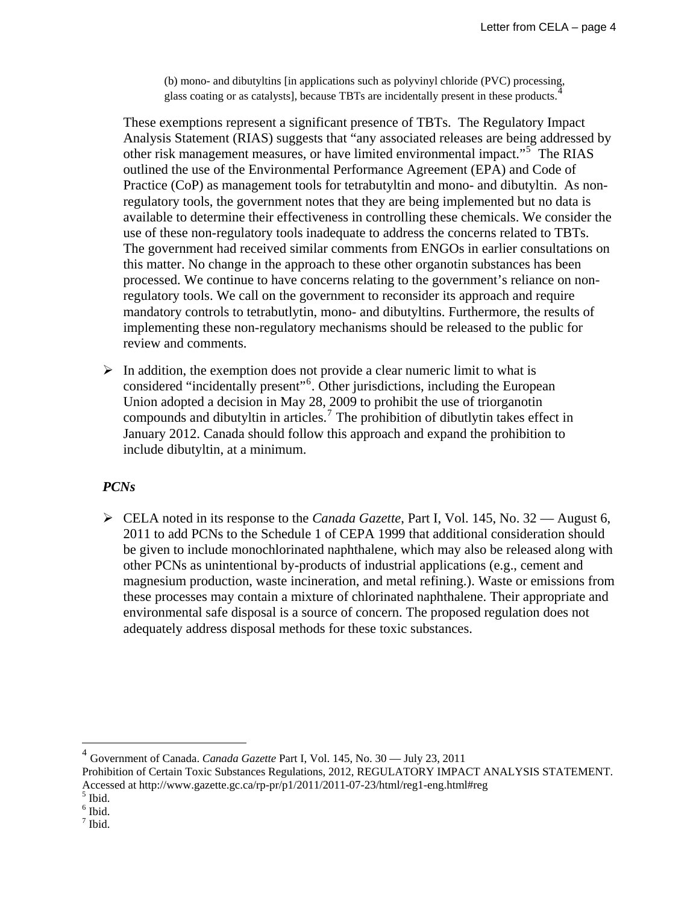(b) mono- and dibutyltins [in applications such as polyvinyl chloride (PVC) processing, glass coating or as catalysts], because TBTs are incidentally present in these products.

These exemptions represent a significant presence of TBTs. The Regulatory Impact Analysis Statement (RIAS) suggests that "any associated releases are being addressed by other risk management measures, or have limited environmental impact."<sup>[5](#page-3-1)</sup> The RIAS outlined the use of the Environmental Performance Agreement (EPA) and Code of Practice (CoP) as management tools for tetrabutyltin and mono- and dibutyltin. As nonregulatory tools, the government notes that they are being implemented but no data is available to determine their effectiveness in controlling these chemicals. We consider the use of these non-regulatory tools inadequate to address the concerns related to TBTs. The government had received similar comments from ENGOs in earlier consultations on this matter. No change in the approach to these other organotin substances has been processed. We continue to have concerns relating to the government's reliance on nonregulatory tools. We call on the government to reconsider its approach and require mandatory controls to tetrabutlytin, mono- and dibutyltins. Furthermore, the results of implementing these non-regulatory mechanisms should be released to the public for review and comments.

 $\triangleright$  In addition, the exemption does not provide a clear numeric limit to what is considered "incidentally present"[6](#page-3-2) . Other jurisdictions, including the European Union adopted a decision in May 28, 2009 to prohibit the use of triorganotin compounds and dibutyltin in articles.<sup>[7](#page-3-3)</sup> The prohibition of dibutlytin takes effect in January 2012. Canada should follow this approach and expand the prohibition to include dibutyltin, at a minimum.

### *PCNs*

¾ CELA noted in its response to the *Canada Gazette*, Part I, Vol. 145, No. 32 — August 6, 2011 to add PCNs to the Schedule 1 of CEPA 1999 that additional consideration should be given to include monochlorinated naphthalene, which may also be released along with other PCNs as unintentional by-products of industrial applications (e.g., cement and magnesium production, waste incineration, and metal refining.). Waste or emissions from these processes may contain a mixture of chlorinated naphthalene. Their appropriate and environmental safe disposal is a source of concern. The proposed regulation does not adequately address disposal methods for these toxic substances.

<span id="page-3-0"></span><sup>4</sup> Government of Canada. *Canada Gazette* Part I, Vol. 145, No. 30 — July 23, 2011

 $\overline{a}$ 

<span id="page-3-2"></span> $<sup>6</sup>$  Ibid.</sup>

Prohibition of Certain Toxic Substances Regulations, 2012, REGULATORY IMPACT ANALYSIS STATEMENT. Accessed at http://www.gazette.gc.ca/rp-pr/p1/2011/2011-07-23/html/reg1-eng.html#reg

<span id="page-3-1"></span> $<sup>5</sup>$  Ibid.</sup>

<span id="page-3-3"></span><sup>7</sup> Ibid.